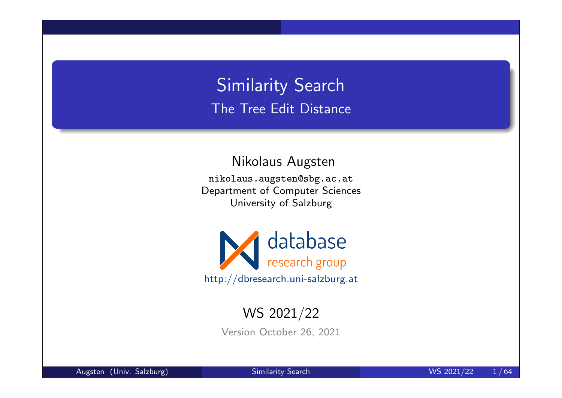Similarity Search The Tree Edit Distance

Nikolaus Augsten

nikolaus.augsten@sbg.ac.at Department of Computer Sciences University of Salzburg



### WS 2021/22

Version October 26, 2021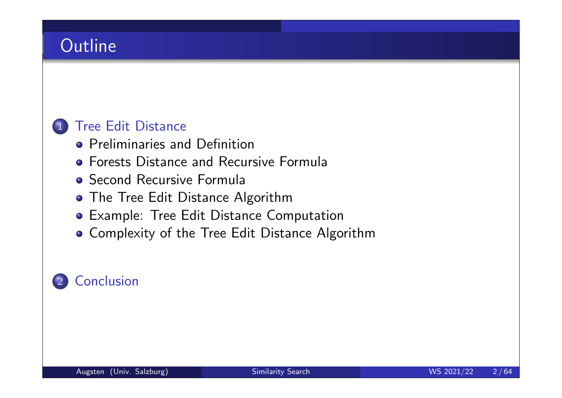# **Outline**

### 1 Tree Edit Distance

- **•** Preliminaries and Definition
- **Forests Distance and Recursive Formula**
- Second Recursive Formula
- The Tree Edit Distance Algorithm
- Example: Tree Edit Distance Computation
- Complexity of the Tree Edit Distance Algorithm

## 2 Conclusion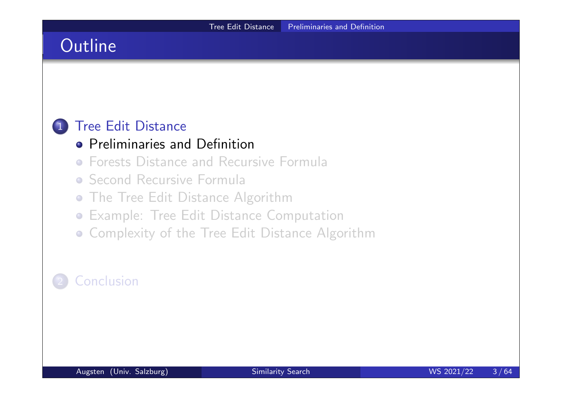## **Outline**

#### 1 Tree Edit Distance

### **•** Preliminaries and Definition

- **Forests Distance and Recursive Formula**
- **Second Recursive Formula**
- **The Tree Edit Distance Algorithm**
- Example: Tree Edit Distance Computation
- **Complexity of the Tree Edit Distance Algorithm**

### **Conclusion**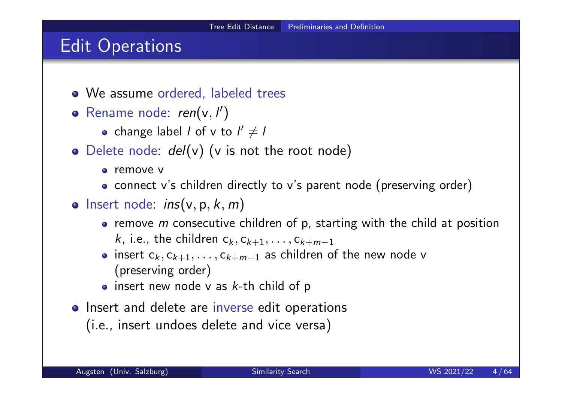## Edit Operations

- We assume ordered, labeled trees
- Rename node:  $ren(v, l')$ 
	- change label  $l$  of  $\mathsf{v}$  to  $l'\neq l$
- $\bullet$  Delete node:  $del(v)$  (v is not the root node)
	- **o** remove v
	- connect v's children directly to v's parent node (preserving order)
- **o** Insert node:  $ins(v, p, k, m)$ 
	- remove  $m$  consecutive children of  $p$ , starting with the child at position k, i.e., the children  $c_k, c_{k+1}, \ldots, c_{k+m-1}$
	- insert  $c_k, c_{k+1}, \ldots, c_{k+m-1}$  as children of the new node v (preserving order)
	- $\bullet$  insert new node v as  $k$ -th child of p
- o Insert and delete are inverse edit operations
	- (i.e., insert undoes delete and vice versa)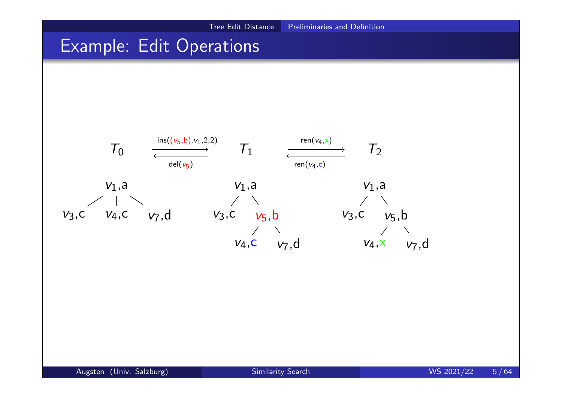## Example: Edit Operations

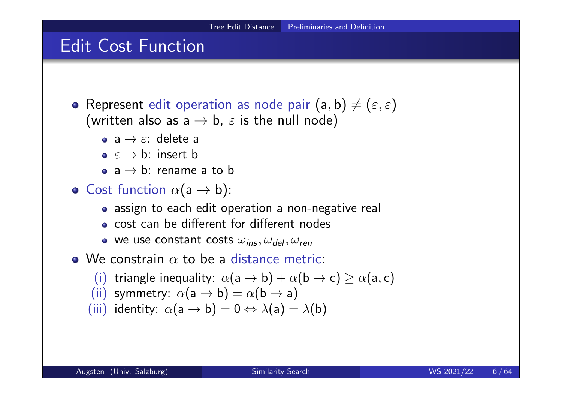## Edit Cost Function

**•** Represent edit operation as node pair  $(a, b) \neq (\varepsilon, \varepsilon)$ (written also as a  $\rightarrow$  b,  $\varepsilon$  is the null node)

- $\bullet$  a  $\rightarrow$   $\varepsilon$  delete a
- $\bullet \varepsilon \rightarrow b$ : insert b
- $\bullet$  a  $\rightarrow$  b: rename a to b
- **•** Cost function  $\alpha$ (a  $\rightarrow$  b):
	- assign to each edit operation a non-negative real
	- cost can be different for different nodes
	- we use constant costs  $\omega_{ins}$ ,  $\omega_{del}$ ,  $\omega_{ren}$
- $\bullet$  We constrain  $\alpha$  to be a distance metric:
	- (i) triangle inequality:  $\alpha$ (a  $\rightarrow$  b) +  $\alpha$ (b  $\rightarrow$  c)  $\geq \alpha$ (a, c)
	- (ii) symmetry:  $\alpha$ (a  $\rightarrow$  b) =  $\alpha$ (b  $\rightarrow$  a)
	- (iii) identity:  $\alpha$ (a  $\rightarrow$  b) = 0  $\Leftrightarrow$   $\lambda$ (a) =  $\lambda$ (b)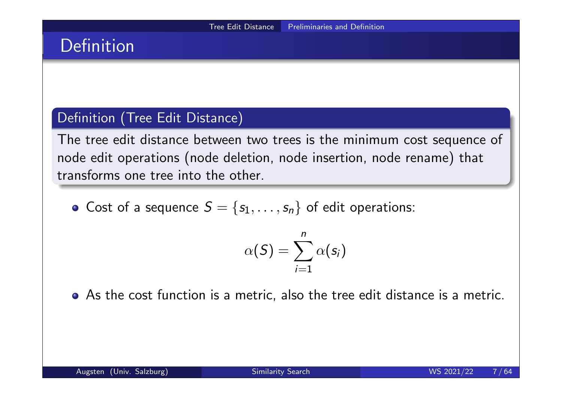# Definition

#### Definition (Tree Edit Distance)

The tree edit distance between two trees is the minimum cost sequence of node edit operations (node deletion, node insertion, node rename) that transforms one tree into the other.

Cost of a sequence  $S = \{s_1, \ldots, s_n\}$  of edit operations:

$$
\alpha(S) = \sum_{i=1}^n \alpha(s_i)
$$

As the cost function is a metric, also the tree edit distance is a metric.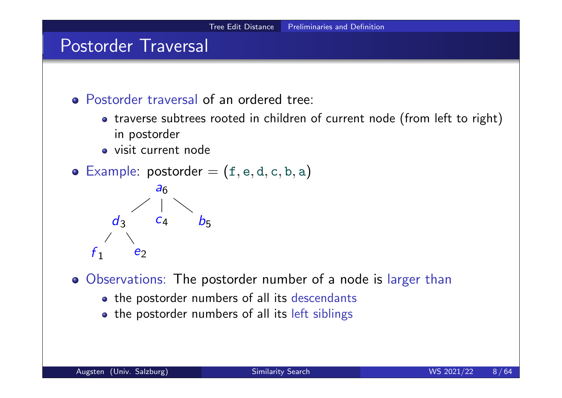

• the postorder numbers of all its left siblings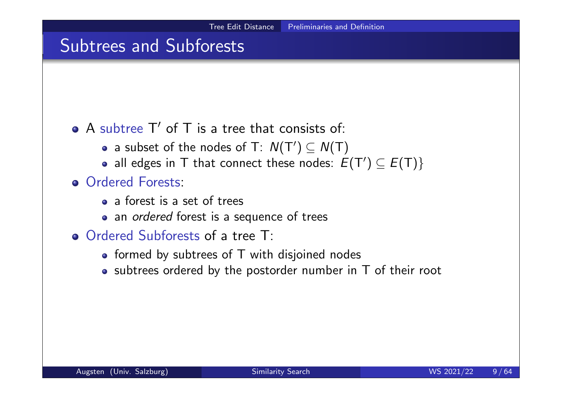## Subtrees and Subforests

### A subtree  $T'$  of  $T$  is a tree that consists of:

- a subset of the nodes of T:  $N(T') \subseteq N(T)$
- all edges in  $\top$  that connect these nodes:  $E(\top') \subseteq E(\top) \}$

#### **• Ordered Forests:**

- a forest is a set of trees
- an *ordered* forest is a sequence of trees
- Ordered Subforests of a tree T:
	- formed by subtrees of T with disjoined nodes
	- $\bullet$  subtrees ordered by the postorder number in T of their root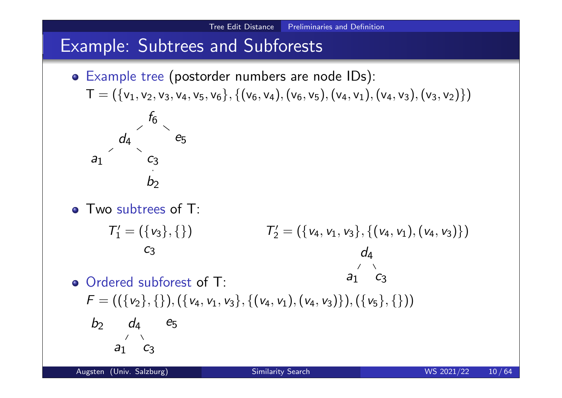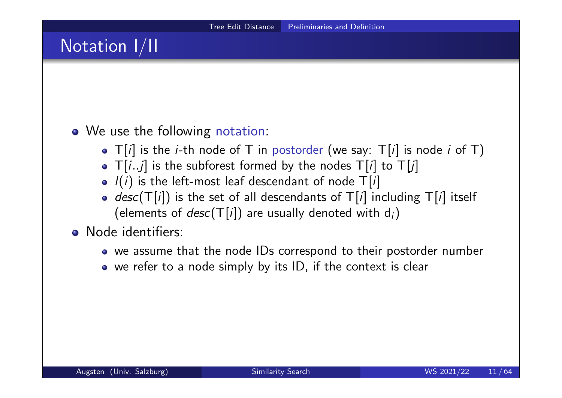# Notation I/II

#### • We use the following notation:

- $\bullet$  T[i] is the *i*-th node of T in postorder (we say: T[i] is node *i* of T)
- $\bullet$  T[i..j] is the subforest formed by the nodes T[i] to T[j]
- $\bullet$   $I(i)$  is the left-most leaf descendant of node  $T[i]$
- $desc(T[i])$  is the set of all descendants of  $T[i]$  including  $T[i]$  itself (elements of  $desc(\mathsf{T}[i])$  are usually denoted with  $\mathsf{d}_i)$
- Node identifiers:
	- we assume that the node IDs correspond to their postorder number
	- we refer to a node simply by its ID, if the context is clear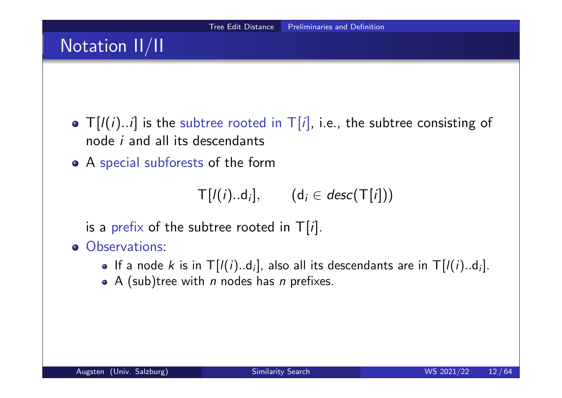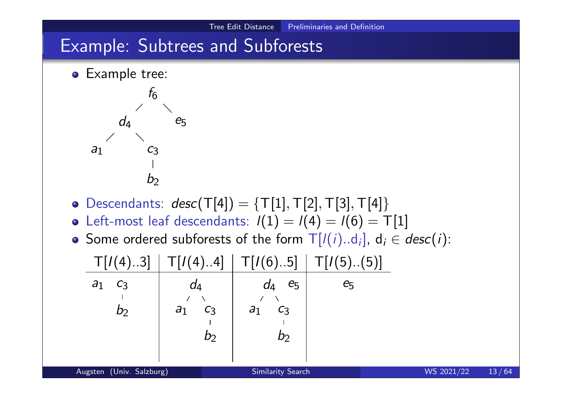# Example: Subtrees and Subforests

**•** Example tree:



- Descendants:  $desc(T[4]) = {T[1], T[2], T[3], T[4]}$
- Left-most leaf descendants:  $l(1) = l(4) = l(6) = T[1]$
- Some ordered subforests of the form  $\mathsf{T}[l(i)..\mathsf{d}_i]$ ,  $\mathsf{d}_i \in \mathsf{desc}(i)$ :



Tree Edit Distance Preliminaries and Definition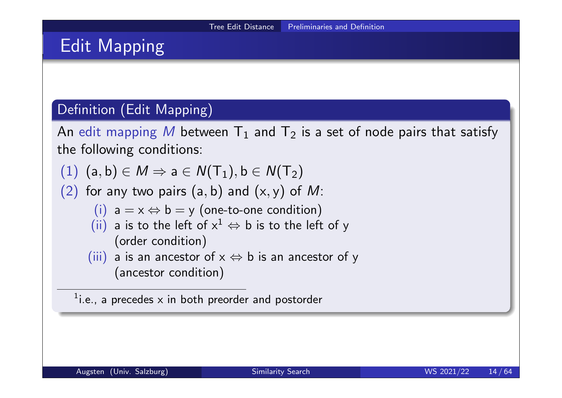# Edit Mapping

### Definition (Edit Mapping)

An edit mapping  $M$  between  ${\mathsf T}_1$  and  ${\mathsf T}_2$  is a set of node pairs that satisfy the following conditions:

$$
(1) \hspace{.15cm} (a,b) \in M \Rightarrow a \in \mathsf{N}(\mathsf{T}_1), b \in \mathsf{N}(\mathsf{T}_2)
$$

(2) for any two pairs  $(a, b)$  and  $(x, y)$  of M:

(i) 
$$
a = x \Leftrightarrow b = y
$$
 (one-to-one condition)

(ii) a is to the left of  $x^1 \Leftrightarrow b$  is to the left of y (order condition)

(iii) a is an ancestor of 
$$
x \Leftrightarrow b
$$
 is an ancestor of y  
(ancestor condition)

 $1$ i.e., a precedes x in both preorder and postorder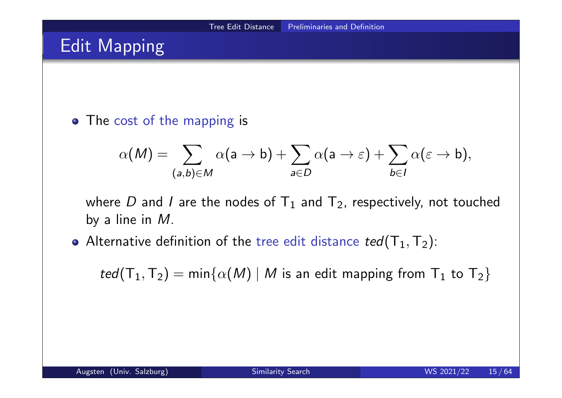# Edit Mapping

• The cost of the mapping is

$$
\alpha(M) = \sum_{(a,b)\in M} \alpha(a \to b) + \sum_{a\in D} \alpha(a \to \varepsilon) + \sum_{b\in I} \alpha(\varepsilon \to b),
$$

where  $D$  and  $I$  are the nodes of  ${\sf T}_1$  and  ${\sf T}_2$ , respectively, not touched by a line in M.

Alternative definition of the tree edit distance  $ted(\mathsf{T}_1,\mathsf{T}_2)$ :

 $ted(T_1, T_2) = min\{\alpha(M) | M$  is an edit mapping from  $T_1$  to  $T_2\}$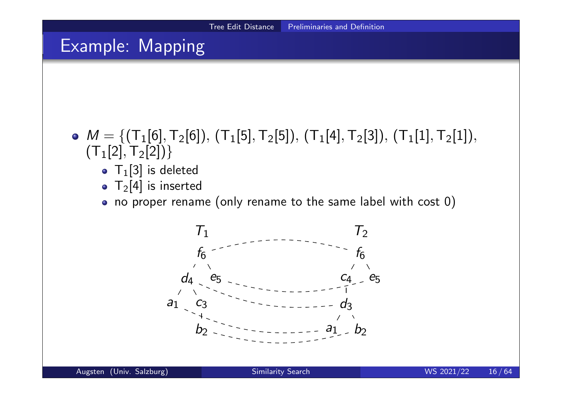# Example: Mapping

- $M = \{ (T_1[6], T_2[6]), (T_1[5], T_2[5]), (T_1[4], T_2[3]), (T_1[1], T_2[1]),$  $(T_1[2], T_2[2])$ 
	- $\bullet$  T<sub>1</sub>[3] is deleted
	- $\bullet$  T<sub>2</sub>[4] is inserted
	- no proper rename (only rename to the same label with cost 0)

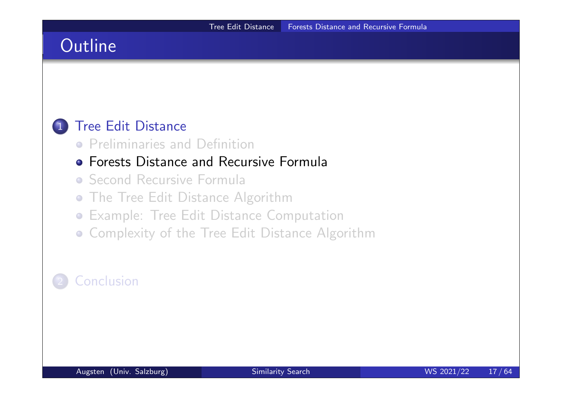# **Outline**

### 1 Tree Edit Distance

**•** Preliminaries and Definition

### **• Forests Distance and Recursive Formula**

- Second Recursive Formula
- **The Tree Edit Distance Algorithm**
- Example: Tree Edit Distance Computation
- **Complexity of the Tree Edit Distance Algorithm**

## **Conclusion**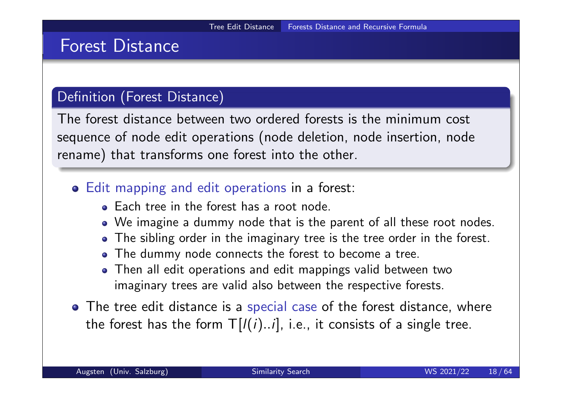## Forest Distance

#### Definition (Forest Distance)

The forest distance between two ordered forests is the minimum cost sequence of node edit operations (node deletion, node insertion, node rename) that transforms one forest into the other.

- Edit mapping and edit operations in a forest:
	- Each tree in the forest has a root node.
	- We imagine a dummy node that is the parent of all these root nodes.
	- The sibling order in the imaginary tree is the tree order in the forest.
	- The dummy node connects the forest to become a tree.
	- Then all edit operations and edit mappings valid between two imaginary trees are valid also between the respective forests.
- The tree edit distance is a special case of the forest distance, where the forest has the form  $T[(i)...i]$ , i.e., it consists of a single tree.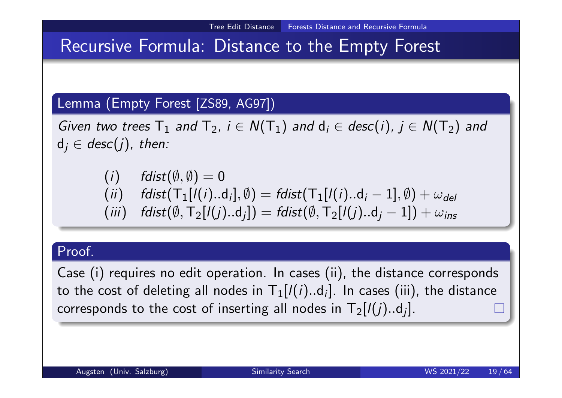# Recursive Formula: Distance to the Empty Forest

#### Lemma (Empty Forest [ZS89, AG97])

Given two trees  $T_1$  and  $T_2$ ,  $i \in N(T_1)$  and  $d_i \in desc(i)$ ,  $j \in N(T_2)$  and  $d_i \in desc(j)$ , then:

\n- (i) 
$$
fdist(\emptyset, \emptyset) = 0
$$
\n- (ii)  $fdist(T_1[I(i).d_i], \emptyset) = fdist(T_1[I(i).d_i - 1], \emptyset) + \omega_{del}$
\n- (iii)  $fdist(\emptyset, T_2[I(j).d_j]) = fdist(\emptyset, T_2[I(j).d_j - 1]) + \omega_{ins}$
\n

#### Proof.

Case (i) requires no edit operation. In cases (ii), the distance corresponds to the cost of deleting all nodes in  ${\sf T}_1 [ {\it l} (i) .. {\sf d}_i ].$  In cases (iii), the distance corresponds to the cost of inserting all nodes in  $\mathsf{T}_2 [ \mathit{l}(j)..\mathsf{d}_j ].$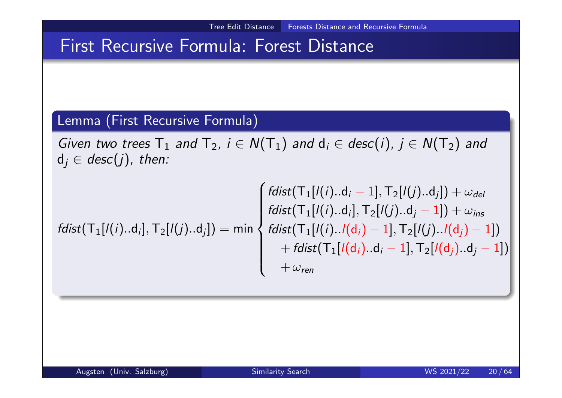# First Recursive Formula: Forest Distance

#### Lemma (First Recursive Formula)

Given two trees  $T_1$  and  $T_2$ ,  $i \in N(T_1)$  and  $d_i \in desc(i)$ ,  $j \in N(T_2)$  and  $d_i \in desc(j)$ , then:

$$
fdist(T_1[l(i)..d_i], T_2[l(j)..d_j]) = min \begin{cases} fdist(T_1[l(i)..d_i - 1], T_2[l(j)..d_j]) + \omega_{del} \\ fdist(T_1[l(i)..d_i], T_2[l(j)..d_j - 1]) + \omega_{ins} \\ fdist(T_1[l(i)..l(d_i) - 1], T_2[l(j)..l(d_j) - 1]) \\ + fdist(T_1[l(d_i)..d_i - 1], T_2[l(d_j)..d_j - 1]) \\ + \omega_{ren} \end{cases}
$$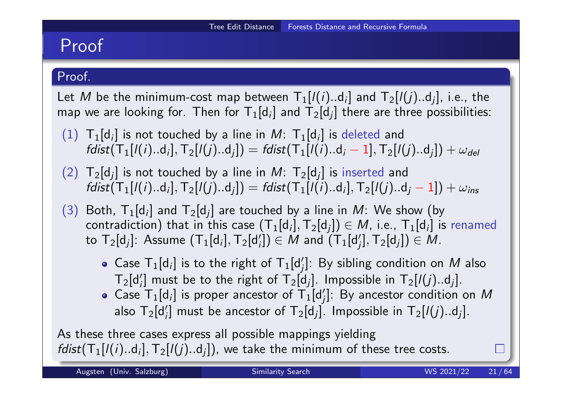# Proof

#### Proof.

Let  $M$  be the minimum-cost map between  ${\sf T}_1[\mathit{l}(i)..\mathsf{d}_i]$  and  ${\sf T}_2[\mathit{l}(j)..\mathsf{d}_j]$ , i.e., the map we are looking for. Then for  ${\sf T}_1[{\sf d}_i]$  and  ${\sf T}_2[{\sf d}_j]$  there are three possibilities:

- $(1)$   $\mathsf{T}_1[\mathsf{d}_i]$  is not touched by a line in  $M$ :  $\mathsf{T}_1[\mathsf{d}_i]$  is deleted and  $\mathit{fdist}(\mathsf{T}_1[\mathit{l}(i)..\mathsf{d}_i], \mathsf{T}_2[\mathit{l}(j)..\mathsf{d}_j]) = \mathit{fdist}(\mathsf{T}_1[\mathit{l}(i)..\mathsf{d}_i-1], \mathsf{T}_2[\mathit{l}(j)..\mathsf{d}_j]) + \omega_{\mathsf{del}}$
- $(2)$   ${\sf T}_2[{\sf d}_j]$  is not touched by a line in  $M$ :  ${\sf T}_2[{\sf d}_j]$  is inserted and  $\mathit{fdist}(\mathsf{T}_1[\mathit{l}(i)..\mathsf{d}_i], \mathsf{T}_2[\mathit{l}(j)..\mathsf{d}_j]) = \mathit{fdist}(\mathsf{T}_1[\mathit{l}(i)..\mathsf{d}_i], \mathsf{T}_2[\mathit{l}(j)..\mathsf{d}_j-1]) + \omega_{\mathit{ins}}$
- $(3)$  Both,  ${\sf T}_1[{\sf d}_i]$  and  ${\sf T}_2[{\sf d}_j]$  are touched by a line in  $M$ : We show  $({\sf by})$ contradiction) that in this case  $(T_1[d_i], T_2[d_j]) \in M$ , i.e.,  $T_1[d_i]$  is renamed to  $\mathsf{T}_2[\mathsf{d}_j]$ : Assume  $(\mathsf{T}_1[\mathsf{d}_i],\mathsf{T}_2[\mathsf{d}_i'])\in M$  and  $(\mathsf{T}_1[\mathsf{d}_j'],\mathsf{T}_2[\mathsf{d}_j])\in M$ .
	- Case  ${\sf T}_1[{\sf d}_i]$  is to the right of  ${\sf T}_1[{\sf d}_j']$ : By sibling condition on  $M$  also  $T_2[d'_i]$  must be to the right of  $T_2[d_j]$ . Impossible in  $T_2[I(j)..d_j]$ .
	- Case  ${\sf T}_1[{\sf d}_i]$  is proper ancestor of  ${\sf T}_1[{\sf d}_j']$ : By ancestor condition on  $M$ also  $\mathsf{T}_2[\mathsf{d}_i']$  must be ancestor of  $\mathsf{T}_2[\mathsf{d}_j]$ . Impossible in  $\mathsf{T}_2[\mathsf{l}(j)..\mathsf{d}_j]$ .

As these three cases express all possible mappings yielding  $fdist(T_1[I(i)..d_i], T_2[I(j)..d_j])$ , we take the minimum of these tree costs.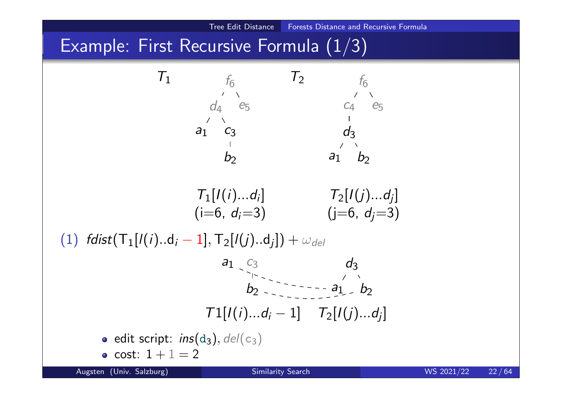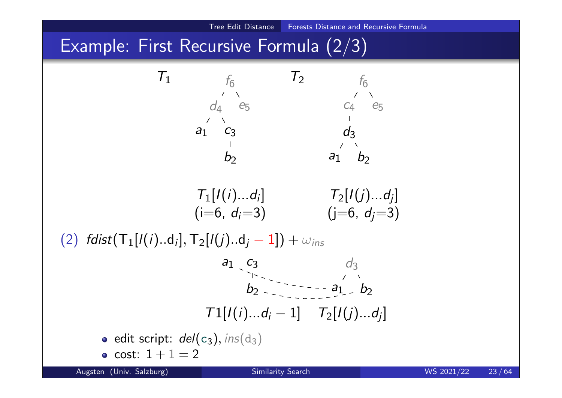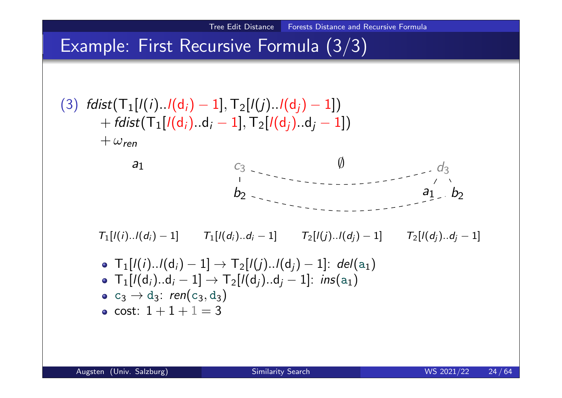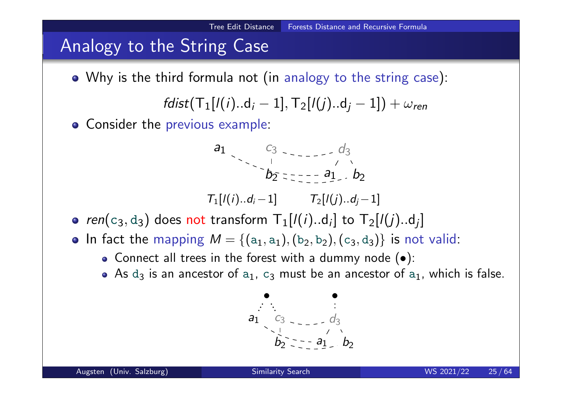# Analogy to the String Case

Why is the third formula not (in analogy to the string case):

$$
fdist(\mathsf{T}_{1}[l(i)..d_{i}-1],\mathsf{T}_{2}[l(j)..d_{j}-1]) + \omega_{ren}
$$

**• Consider the previous example:** 

$$
a_1 \begin{array}{c} c_3 \end{array} = - - - \begin{array}{c} d_3 \\ d_3 \end{array}
$$

$$
T_1[l(i)..d_i-1] \qquad T_2[l(j)..d_j-1]
$$

- ren(c<sub>3</sub>, d<sub>3</sub>) does not transform  $T_1[I(i)..d_i]$  to  $T_2[I(j)..d_j]$
- In fact the mapping  $M = \{(a_1, a_1), (b_2, b_2), (c_3, d_3)\}$  is not valid:
	- Connect all trees in the forest with a dummy node (•):
	- As d<sub>3</sub> is an ancestor of  $a_1$ ,  $c_3$  must be an ancestor of  $a_1$ , which is false.

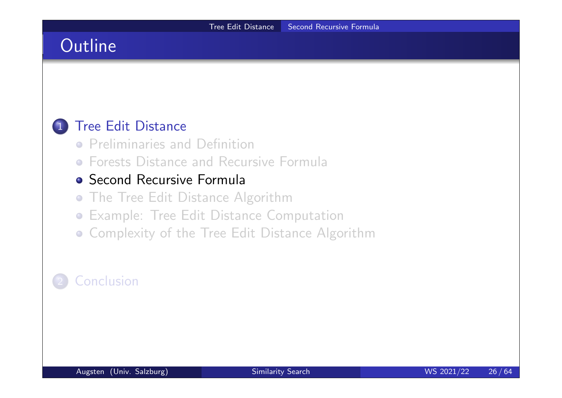# **Outline**

#### 1 Tree Edit Distance

- **•** Preliminaries and Definition
- **Forests Distance and Recursive Formula**

#### • Second Recursive Formula

- The Tree Edit Distance Algorithm
- Example: Tree Edit Distance Computation
- **Complexity of the Tree Edit Distance Algorithm**

### **Conclusion**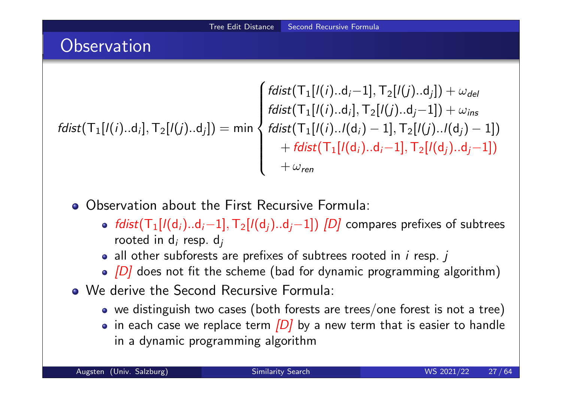## **Observation**

$$
fdist(T_1[i(i)..d_i], T_2[i(j)..d_j]) = min \begin{cases} fdist(T_1[i(i)..d_i-1], T_2[i(j)..d_j]) + \omega_{del} \\ fdist(T_1[i(i)..d_i], T_2[i(j)..d_j-1]) + \omega_{ins} \\ fdist(T_1[i(i)..l(d_i)-1], T_2[i(j)..l(d_j)-1]) \\ + fdist(T_1[i(d_i)..d_i-1], T_2[i(d_j)..d_j-1]) \\ + \omega_{ren} \end{cases}
$$

- Observation about the First Recursive Formula:
	- $fdist(\mathsf{T}_1[\mathsf{l}(\mathsf{d}_i)..\mathsf{d}_i-1],\mathsf{T}_2[\mathsf{l}(\mathsf{d}_j)..\mathsf{d}_j-1])$   $[D]$  compares prefixes of subtrees rooted in d $_i$  resp. d $_j$
	- all other subforests are prefixes of subtrees rooted in *i* resp. *j*
	- $\bullet$   $[D]$  does not fit the scheme (bad for dynamic programming algorithm)
- We derive the Second Recursive Formula:
	- we distinguish two cases (both forests are trees/one forest is not a tree)
	- in each case we replace term  $[D]$  by a new term that is easier to handle in a dynamic programming algorithm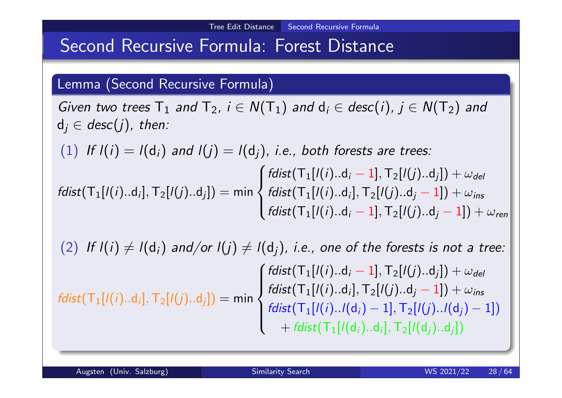## Second Recursive Formula: Forest Distance

#### Lemma (Second Recursive Formula)

Given two trees  $T_1$  and  $T_2$ ,  $i \in N(T_1)$  and  $d_i \in desc(i)$ ,  $j \in N(T_2)$  and  $d_i \in desc(j)$ , then:

 $(1)$  If I $(i) = I(d_i)$  and I $(j) = I(d_j)$ , i.e., both forests are trees:

$$
fdist(T_1[i(i)..d_i], T_2[i(j)..d_j]) = min \begin{cases} fdist(T_1[i(i)..d_i - 1], T_2[i(j)..d_j]) + \omega_{del} \\ fdist(T_1[i(i)..d_i], T_2[i(j)..d_j - 1]) + \omega_{ins} \\ fdist(T_1[i(i)..d_i - 1], T_2[i(j)..d_j - 1]) + \omega_{ren} \end{cases}
$$

(2) If 
$$
I(i) \neq I(d_i)
$$
 and/or  $I(j) \neq I(d_j)$ , i.e., one of the forests is not a tree:  
\n
$$
\begin{cases}\nfdist(T_1[I(i)..d_i - 1], T_2[I(j)..d_j]) + \omega_{del} \\
fdist(T_1[I(i)..d_i], T_2[I(j)..d_j - 1]) + \omega_{ins} \\
fdist(T_1[I(i)..d_i], T_2[I(j)..d_j - 1], T_2[I(j)..l(d_j) - 1]) \\
+fdist(T_1[I(i)..l(d_i)..d_i], T_2[I(j)..l(d_j) - 1]) \\
+fdist(T_1[I(d_i)..d_i], T_2[I(d_j)..d_j])\n\end{cases}
$$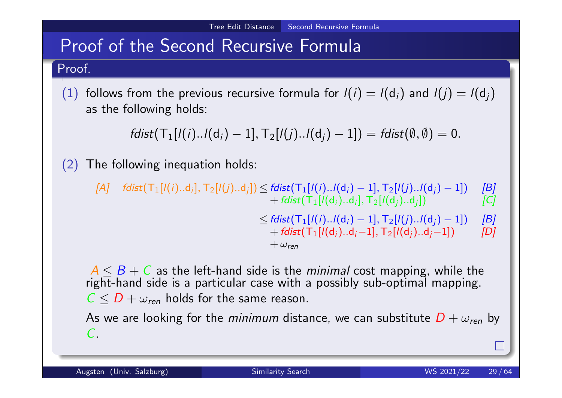# Proof of the Second Recursive Formula

#### Proof.

 $(1)$  follows from the previous recursive formula for  $I(i) = I(d_i)$  and  $I(j) = I(d_j)$ as the following holds:

 $fdist(T_1[I(i)..l(d_i)-1],T_2[I(j)..l(d_j)-1]) = fdist(\emptyset, \emptyset) = 0.$ 

(2) The following inequation holds:

$$
[A] \quad \textit{fdist}(T_1[i(i)..d_i], T_2[i(j)..d_j]) \leq \textit{fdist}(T_1[i(i)..l(d_i) - 1], T_2[i(j)..l(d_j) - 1]) \quad [B] \\
 \quad + \textit{fdist}(T_1[i(d_i)..d_i], T_2[i(d_j)..d_j]) \quad [C] \\
 \quad \leq \textit{fdist}(T_1[i(i)..l(d_i) - 1], T_2[i(j)..l(d_j) - 1]) \quad [B] \\
 \quad + \textit{fdist}(T_1[i(d_i)..d_i - 1], T_2[i(d_j)..d_j - 1]) \quad [D] \\
 \quad + \omega_{\text{ren}}
$$

 $A \leq B + C$  as the left-hand side is the *minimal* cost mapping, while the right-hand side is a particular case with a possibly sub-optimal mapping.  $C \leq D + \omega_{ren}$  holds for the same reason.

As we are looking for the *minimum* distance, we can substitute  $D + \omega_{ren}$  by  $\mathcal{C}$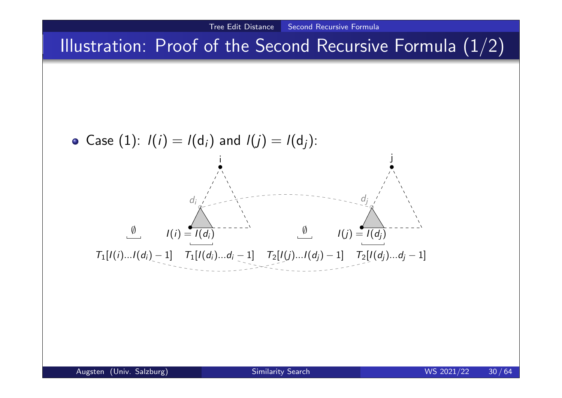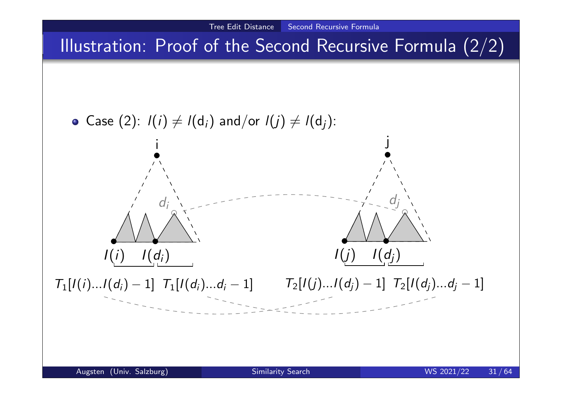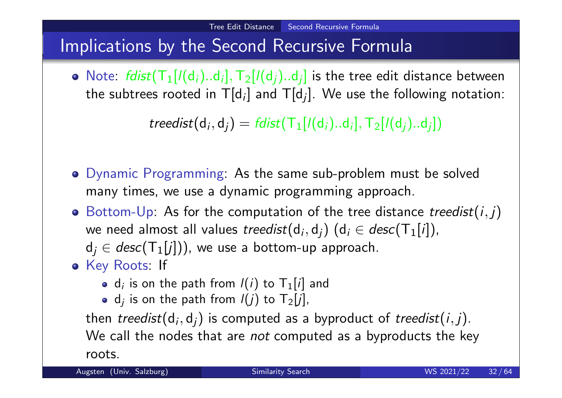## Implications by the Second Recursive Formula

Note:  $\textit{fdist}(\mathsf{T}_1[\mathsf{l}(\mathsf{d}_i)..\mathsf{d}_i], \mathsf{T}_2[\mathsf{l}(\mathsf{d}_j)..\mathsf{d}_j]$  is the tree edit distance between the subtrees rooted in  $\mathsf{T}[\mathsf{d}_i]$  and  $\mathsf{T}[\mathsf{d}_j]$ . We use the following notation:

 $\mathit{treedist}(d_i, d_j) = \mathit{fdist}(T_1[l(d_i)..d_i], T_2[l(d_j)..d_j])$ 

- Dynamic Programming: As the same sub-problem must be solved many times, we use a dynamic programming approach.
- Bottom-Up: As for the computation of the tree distance treedist( $i, j$ ) we need almost all values  $treedist(d_i, d_j)$   $(d_i \in desc(T_1[i]),$  $d_i \in desc(T_1[j]))$ , we use a bottom-up approach.
- **o** Key Roots: If
	- $\mathsf{d}_i$  is on the path from  $\mathsf{I}(i)$  to  $\mathsf{T}_1[i]$  and
	- $\mathsf{d}_j$  is on the path from  $\mathsf{I}(j)$  to  $\mathsf{T}_2[j]$ ,

then  $\mathit{treedist}(\mathsf{d}_i,\mathsf{d}_j)$  is computed as a byproduct of  $\mathit{treedist}(i,j).$ We call the nodes that are *not* computed as a byproducts the key roots.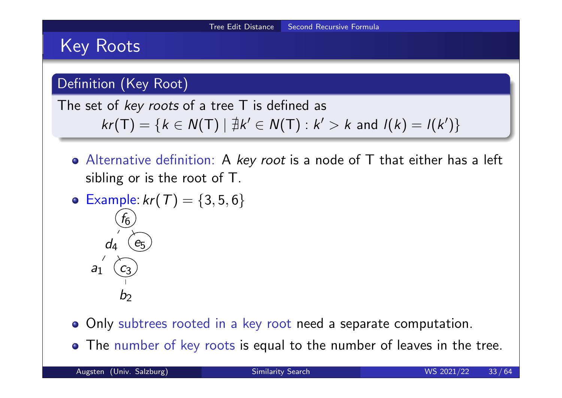# Key Roots

#### Definition (Key Root)

The set of key roots of a tree T is defined as  $kr(T) = \{ k \in N(T) \mid \nexists k' \in N(T) : k' > k \text{ and } l(k) = l(k') \}$ 

- $\bullet$  Alternative definition: A key root is a node of T that either has a left sibling or is the root of T.
- Example:  $kr(T) = \{3, 5, 6\}$ f 6  $d_4$  $a<sub>1</sub>$  $C<sub>3</sub>$  $(e_5)$
- Only subtrees rooted in a key root need a separate computation.
- The number of key roots is equal to the number of leaves in the tree.

 $b<sub>2</sub>$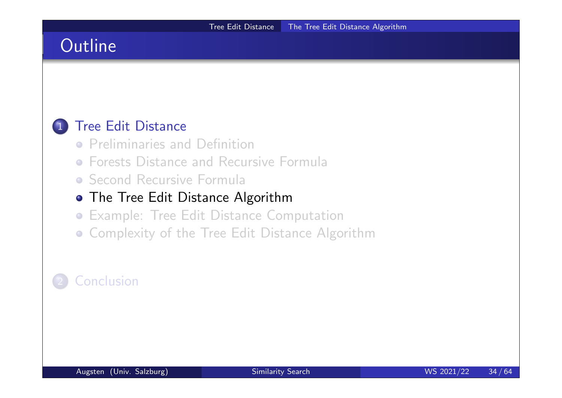# **Outline**

#### 1 Tree Edit Distance

- **•** Preliminaries and Definition
- **Forests Distance and Recursive Formula**
- **· Second Recursive Formula**

#### • The Tree Edit Distance Algorithm

- Example: Tree Edit Distance Computation
- **Complexity of the Tree Edit Distance Algorithm**

## **Conclusion**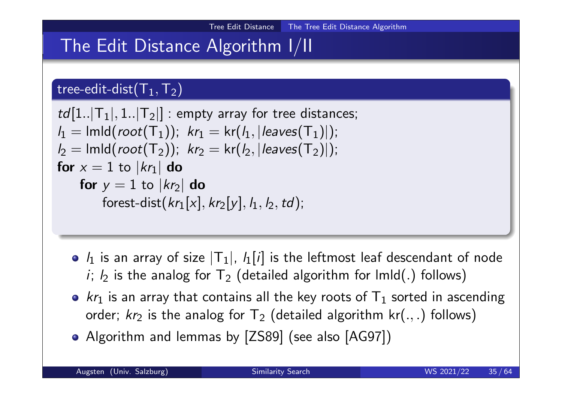# The Edit Distance Algorithm I/II

## tree-edit-dist $(\mathsf{T}_1,\mathsf{T}_2)$

 $td[1..|T_1|, 1..|T_2|]$  : empty array for tree distances;  $l_1 = \text{Imld}(root(T_1)); \ \ kr_1 = \text{kr}(l_1, \vert leaves(T_1) \vert);$  $l_2 = \text{Ind}(\text{root}(T_2)); \ \ kr_2 = \text{kr}(l_2,|\text{leaves}(T_2)|);$ for  $x = 1$  to  $|kr_1|$  do for  $y = 1$  to  $|kr_2|$  do forest-dist $(kr_1[x], kr_2[y], I_1, I_2, td)$ ;

- $l_1$  is an array of size  $|\mathsf{T}_1|$ ,  $l_1[i]$  is the leftmost leaf descendant of node *i*;  $l_2$  is the analog for  $\mathsf{T}_2$  (detailed algorithm for lmld(.) follows)
- $kr_1$  is an array that contains all the key roots of  $T_1$  sorted in ascending order;  $\mathit{kr}_2$  is the analog for  $\mathsf{T}_2$  (detailed algorithm  $\mathsf{kr}(.,.)$  follows)
- Algorithm and lemmas by [ZS89] (see also [AG97])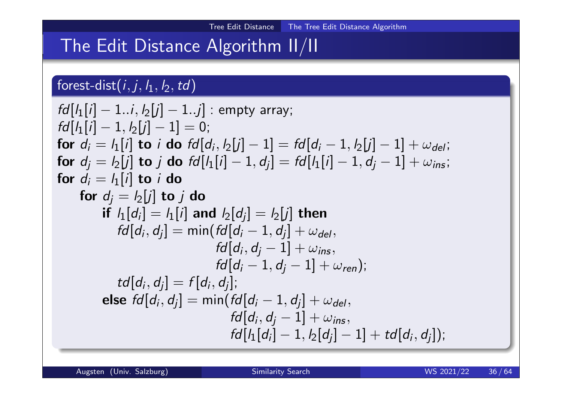# The Edit Distance Algorithm II/II

### forest-dist $(i,j,l_1,l_2,td)$

$$
fd[l_{1}[i] - 1..i, l_{2}[j] - 1..j] : empty array;\nfd[l_{1}[i] - 1, l_{2}[j] - 1] = 0;\nfor di = l_{1}[i] to i do fd[di, l_{2}[j] - 1] = fd[di - 1, l_{2}[j] - 1] +  $\omega_{del}$ ;  
\nfor d<sub>j</sub> = l_{2}[j] to j do fd[l_{1}[i] - 1, d<sub>j</sub>] = fd[l_{1}[i] - 1, d_{j} - 1] +  $\omega_{ins}$ ;  
\nfor d<sub>i</sub> = l_{1}[i] to j do  
\nfor d<sub>j</sub> = l_{2}[j] to j do  
\nif l_{1}[d<sub>i</sub>] = l_{1}[i] and l_{2}[d<sub>j</sub>] = l_{2}[j] then  
\nfd[d<sub>i</sub>, d<sub>j</sub>] = min(fd[d<sub>i</sub> - 1, d<sub>j</sub>] +  $\omega_{del}$ ,  
\nfd[d<sub>i</sub>, d<sub>j</sub> - 1] +  $\omega_{ins}$ ,  
\nfd[d<sub>i</sub> - 1, d<sub>j</sub> - 1] +  $\omega_{ren}$ );  
\ntd[d<sub>i</sub>, d<sub>j</sub>] = f[d<sub>i</sub>, d<sub>j</sub>];  
\nelse fd[d<sub>i</sub>, d<sub>j</sub>] = min(fd[d<sub>i</sub> - 1, d<sub>j</sub>] +  $\omega_{del}$ ,  
\nfd[d<sub>i</sub>, d<sub>j</sub> - 1] +  $\omega_{ins}$ ,  
\nfd[l_{1}[d<sub>i</sub>] - 1, l_{2}[d<sub>j</sub>] - 1] + td[d<sub>i</sub>, d<sub>j</sub>]);
$$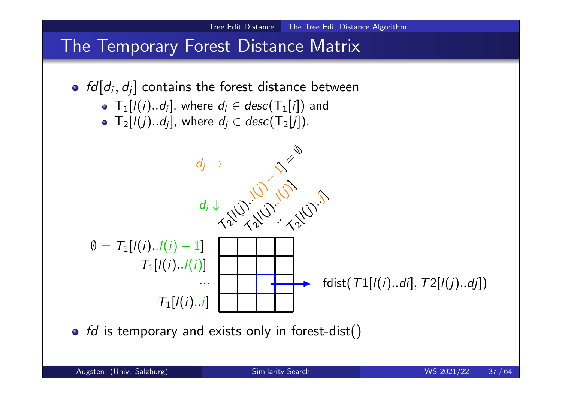

## The Temporary Forest Distance Matrix

- $fd[d_i, d_j]$  contains the forest distance between
	- $\mathsf{T}_1[l(i)..d_i]$ , where  $d_i \in desc(\mathsf{T}_1[i])$  and
	- $\mathsf{T}_2[l(j)..d_j]$ , where  $d_j \in desc(\mathsf{T}_2[j])$ .



 $\bullet$  fd is temporary and exists only in forest-dist()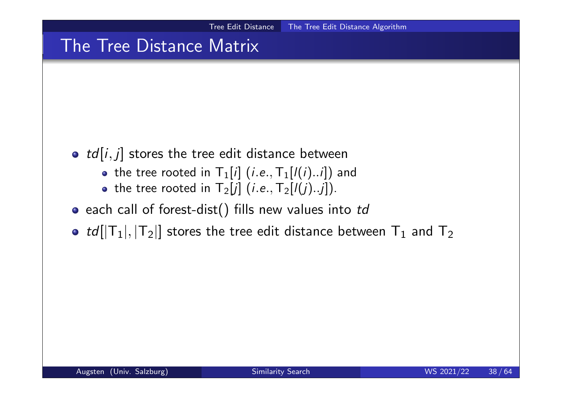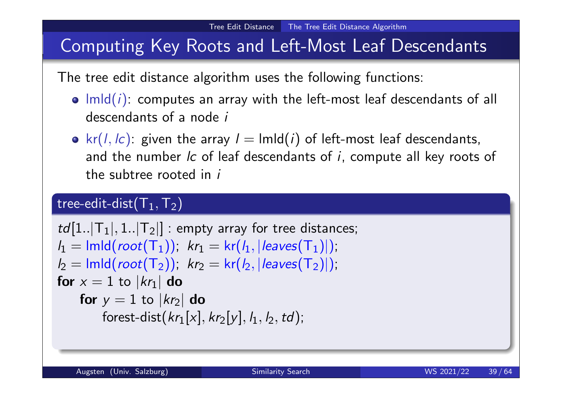# Computing Key Roots and Left-Most Leaf Descendants

The tree edit distance algorithm uses the following functions:

- $\bullet$  lmld(i): computes an array with the left-most leaf descendants of all descendants of a node i
- $kr(l, lc)$ : given the array  $l = \text{Imld}(i)$  of left-most leaf descendants, and the number *lc* of leaf descendants of *i*, compute all key roots of the subtree rooted in i

### tree-edit-dist $(\mathsf{T}_1,\mathsf{T}_2)$

```
td[1..|T_1|, 1..|T_2|] : empty array for tree distances;
l_1 = \text{Ind}(\text{root}(T_1)), \ \ kr_1 = \text{kr}(l_1, |\text{leaves}(T_1)|).l_2 = \text{Ind}(\text{root}(\mathsf{T}_2)), \ \ \text{kr}_2 = \text{kr}(l_2, |\text{leaves}(\mathsf{T}_2)|).for x = 1 to |kr_1| do
     for y = 1 to |kr_2| do
            forest-dist(kr_1[x], kr_2[y], I_1, I_2, td);
```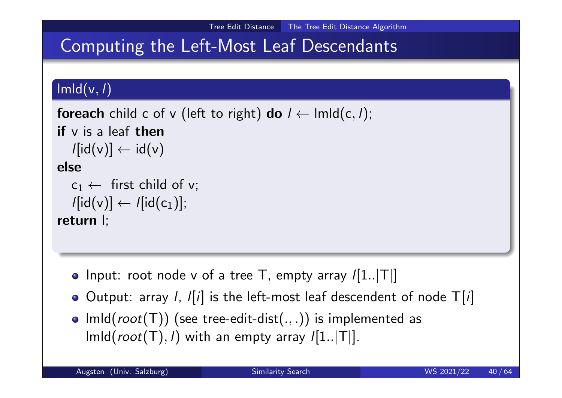# Computing the Left-Most Leaf Descendants

### $lmld(v, l)$

```
foreach child c of v (left to right) do l \leftarrow \text{lmld}(c, l);if v is a leaf then
    l[\text{id}(v)] \leftarrow \text{id}(v)else
    c_1 \leftarrow first child of v;
     \mathcal{U}[\mathsf{id}(\mathsf{v})] \leftarrow \mathcal{U}[\mathsf{id}(\mathsf{c}_1)];
return l;
```
- Input: root node v of a tree T, empty array  $/[1..|T|]$
- O Output: array *l*, *l*[*i*] is the left-most leaf descendent of node  $T[i]$
- Imld( $root(T)$ ) (see tree-edit-dist(.,.)) is implemented as  $lmld(root(T), l)$  with an empty array  $l[1..|T|]$ .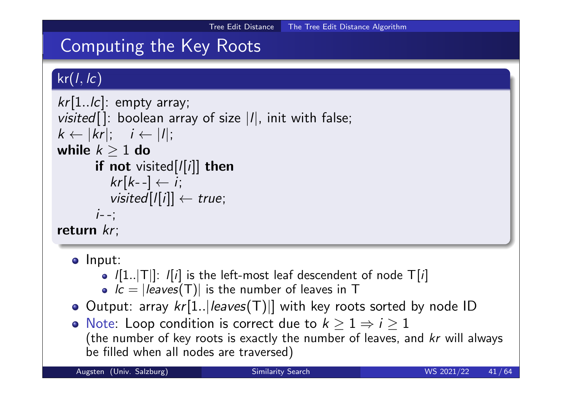# Computing the Key Roots

### $kr(l, lc)$

```
kr[1../c]: empty array;
visited []: boolean array of size |I|, init with false;
k \leftarrow |kr|; \quad i \leftarrow |l|;while k > 1 do
       if not visited[1][i]] then
           kr[k-] \leftarrow i;visited[[i]] \leftarrow true;i-;
return kr;
```
• Input:

- $/[1..|T|]$ :  $/[i]$  is the left-most leaf descendent of node  $T[i]$
- $l = |leaves(T)|$  is the number of leaves in T
- O Output: array  $kr[1..|leaves(T)|]$  with key roots sorted by node ID
- Note: Loop condition is correct due to  $k \geq 1 \Rightarrow i \geq 1$ (the number of key roots is exactly the number of leaves, and kr will always be filled when all nodes are traversed)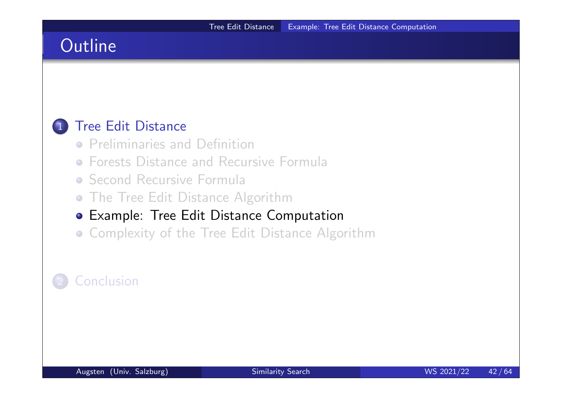# **Outline**

#### 1 Tree Edit Distance

- **•** Preliminaries and Definition
- **Forests Distance and Recursive Formula**
- **Second Recursive Formula**
- The Tree Edit Distance Algorithm

### Example: Tree Edit Distance Computation

**• Complexity of the Tree Edit Distance Algorithm** 

### **Conclusion**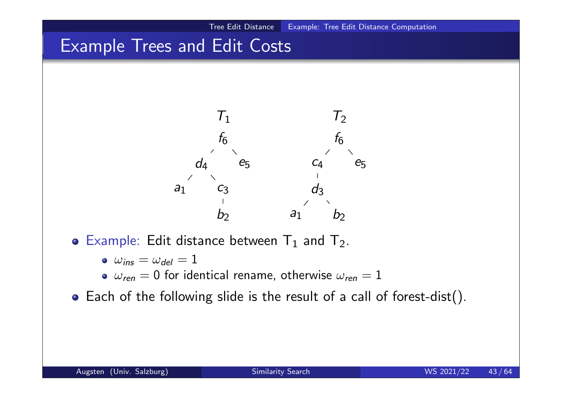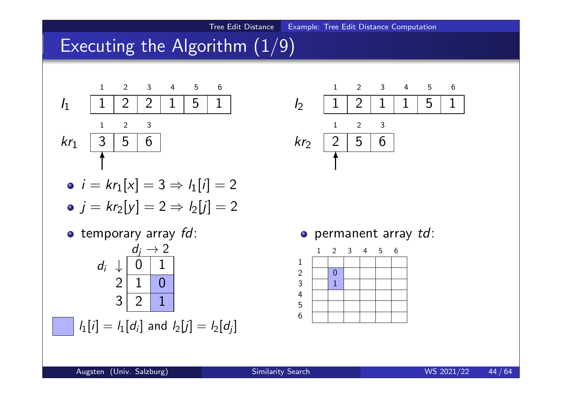

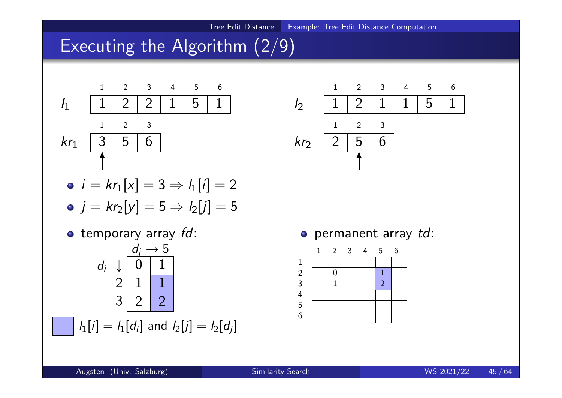



1 2 3 4 5 6 I 2 1 2 1 1 5 1 1 2 3 kr<sup>2</sup> 2 5 6

Tree Edit Distance Example: Tree Edit Distance Computation

$$
\begin{aligned}\n\bullet \ \ i &= kr_1[x] = 3 \Rightarrow l_1[i] = 2 \\
\bullet \ \ j &= kr_2[y] = 5 \Rightarrow l_2[j] = 5\n\end{aligned}
$$



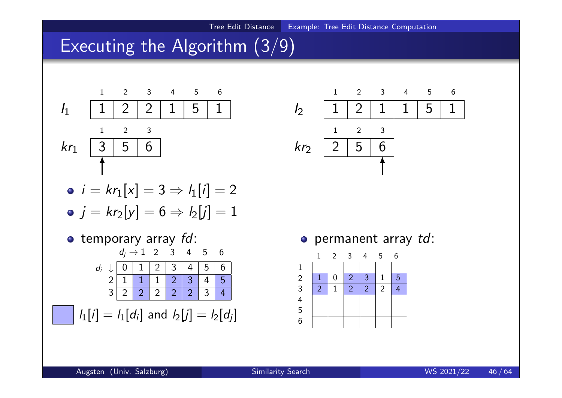# Executing the Algorithm (3/9)



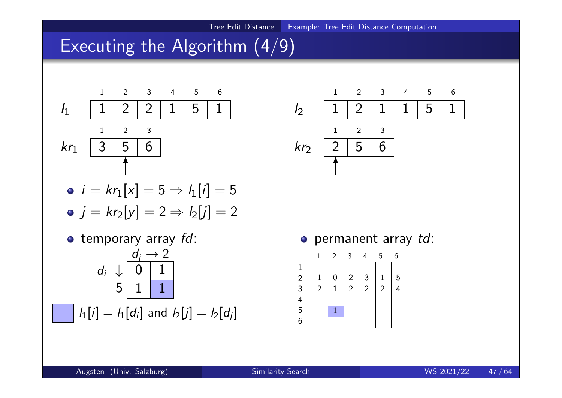# Executing the Algorithm (4/9)



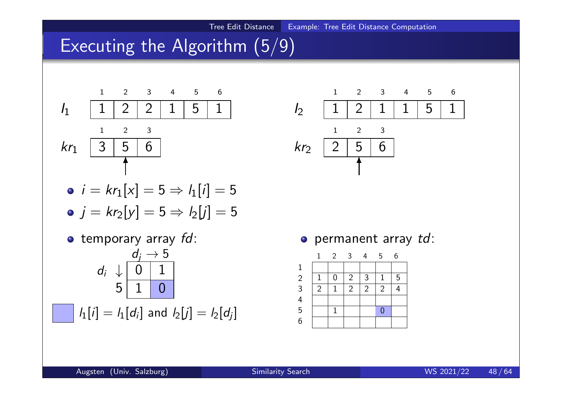# Executing the Algorithm (5/9)



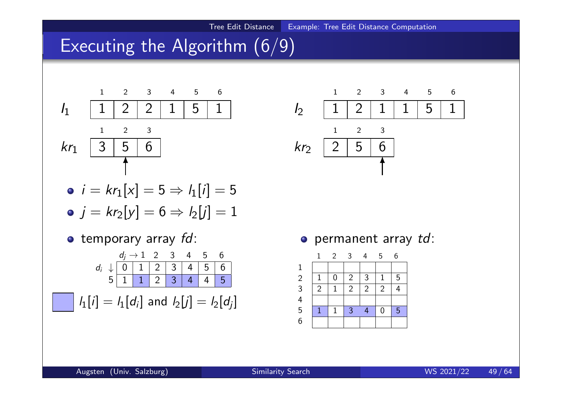# Executing the Algorithm (6/9)





|                | $\overline{0}$ |                | $\mathbf{3}$   |                                  | 5              |  |
|----------------|----------------|----------------|----------------|----------------------------------|----------------|--|
| $\overline{2}$ | 1              |                |                |                                  | 4              |  |
|                |                |                |                |                                  |                |  |
|                |                | 3 <sup>1</sup> | $\overline{4}$ | $\overline{0}$                   | 5              |  |
|                |                |                |                |                                  |                |  |
|                |                |                | $\overline{2}$ | $\frac{1}{2}$<br>$\vert 2 \vert$ | $\overline{2}$ |  |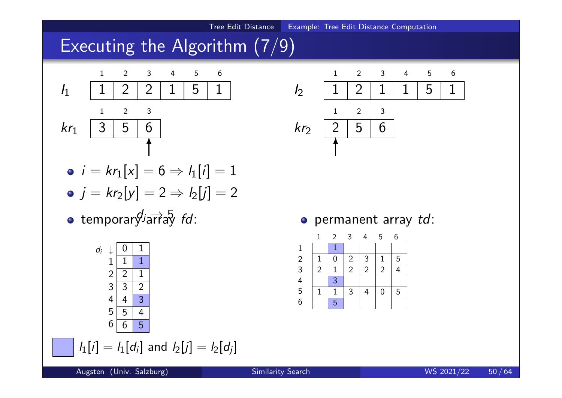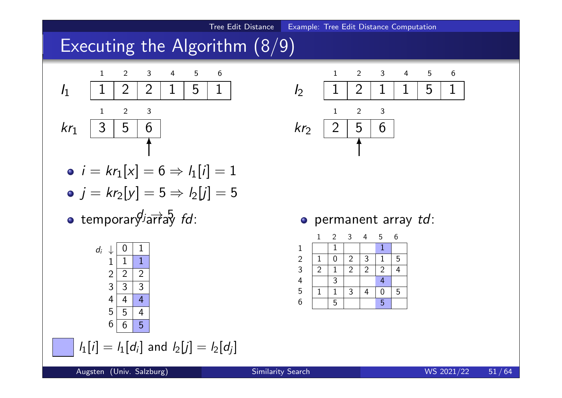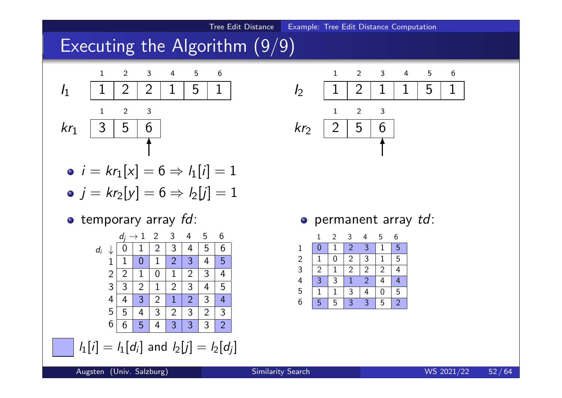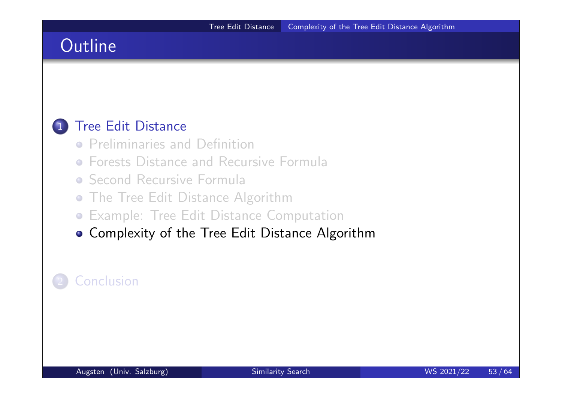# **Outline**

#### 1 Tree Edit Distance

- **•** Preliminaries and Definition
- **Forests Distance and Recursive Formula**
- **Second Recursive Formula**
- The Tree Edit Distance Algorithm
- Example: Tree Edit Distance Computation
- Complexity of the Tree Edit Distance Algorithm

## **Conclusion**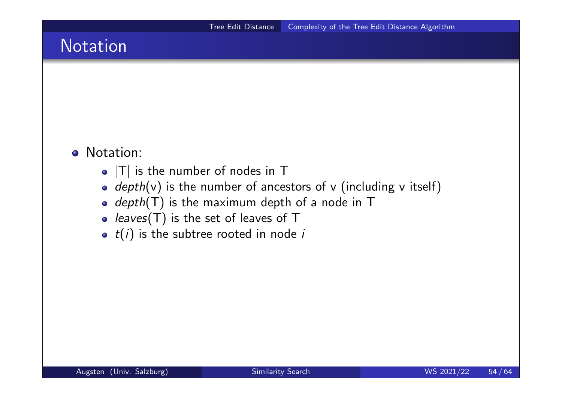# **Notation**

#### **o** Notation:

- $\bullet$  |T| is the number of nodes in T
- $\bullet$  depth(v) is the number of ancestors of v (including v itself)
- $\bullet$  depth(T) is the maximum depth of a node in T
- leaves $(T)$  is the set of leaves of  $T$
- $\bullet$   $t(i)$  is the subtree rooted in node i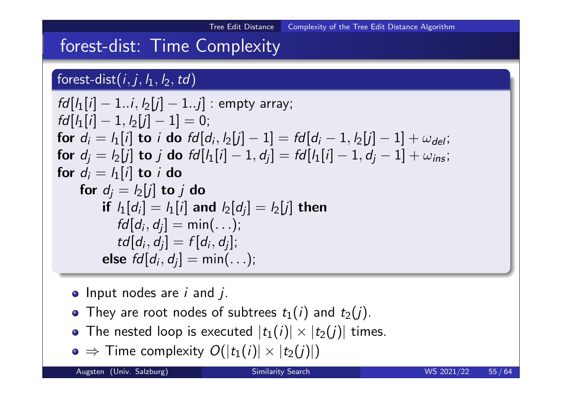# forest-dist: Time Complexity

## forest-dist $(i,j,l_1,l_2,td)$

```
fd[I_1[i] - 1..i, I_2[j] - 1..j]: empty array;
fd[I_1[i] - 1, I_2[j] - 1] = 0;for d_i = l_1[i] to i do fd[d_i, l_2[j] - 1] = fd[d_i - 1, l_2[j] - 1] + \omega_{del};for d_j = l_2[j] to j do fd[l_1[i]-1,d_j] = fd[l_1[i]-1,d_j-1] + \omega_{ins};for d_i = l_1[i] to i do
    for d_j = \mathit{l}_2[j] to j do
         if h_1[d_i] = h_1[i] and h_2[d_j] = h_2[j] then
            fd[d_i, d_j] = min(...);td[d_i,d_j]=f[d_i,d_j];else \mathit{fd}[d_i, d_j] = \mathsf{min}(\ldots);
```
- $\bullet$  Input nodes are *i* and *j*.
- They are root nodes of subtrees  $t_1(i)$  and  $t_2(j)$ .
- The nested loop is executed  $|t_1(i)| \times |t_2(j)|$  times.
- $\Rightarrow$  Time complexity  $O(|t_1(i)| \times |t_2(j)|)$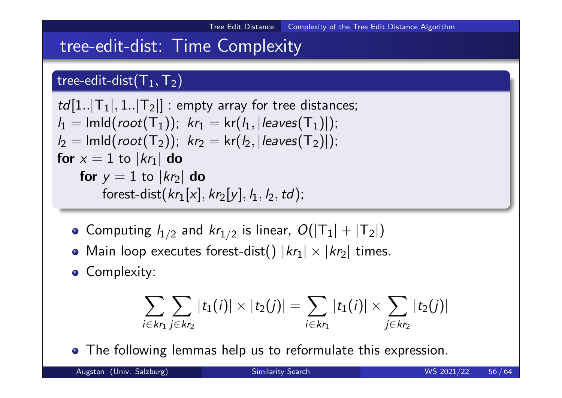## tree-edit-dist: Time Complexity

### tree-edit-dist $(\mathsf{T}_1,\mathsf{T}_2)$

$$
td[1..|T_1|, 1..|T_2|]: \text{empty array for tree distances;}
$$
\n
$$
l_1 = \text{lmld}(root(T_1)); \quad kr_1 = \text{kr}(l_1, |leaves(T_1)|);
$$
\n
$$
l_2 = \text{lmld}(root(T_2)); \quad kr_2 = \text{kr}(l_2, |leaves(T_2)|);
$$
\n
$$
\text{for } x = 1 \text{ to } |kr_1| \text{ do}
$$
\n
$$
\text{for } y = 1 \text{ to } |kr_2| \text{ do}
$$
\n
$$
\text{forest-dist}(kr_1[x], kr_2[y], l_1, l_2, td);
$$

- Computing  $l_{1/2}$  and  $kr_{1/2}$  is linear,  $O(|{\sf T}_1|+|{\sf T}_2|)$
- Main loop executes forest-dist()  $|kr_1| \times |kr_2|$  times.
- **Complexity:**

$$
\sum_{i \in k r_1} \sum_{j \in k r_2} |t_1(i)| \times |t_2(j)| = \sum_{i \in k r_1} |t_1(i)| \times \sum_{j \in k r_2} |t_2(j)|
$$

• The following lemmas help us to reformulate this expression.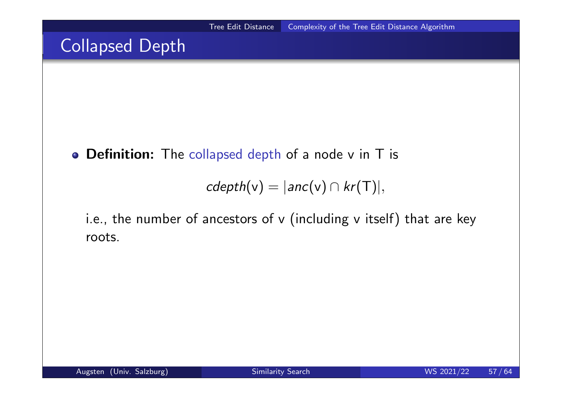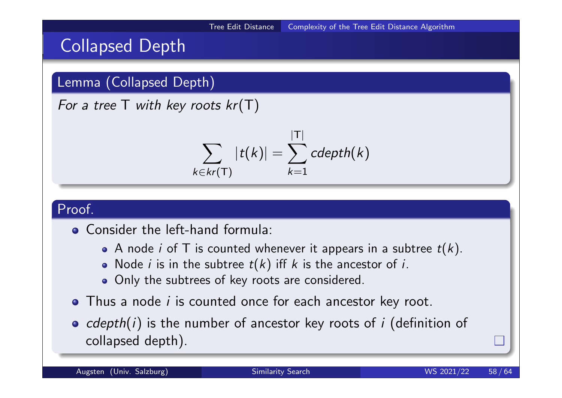# Collapsed Depth

### Lemma (Collapsed Depth)

For a tree  $T$  with key roots  $kr(T)$ 

$$
\sum_{k\in kr(T)}|t(k)|=\sum_{k=1}^{|T|}cdepth(k)
$$

#### Proof.

- Consider the left-hand formula:
	- A node *i* of T is counted whenever it appears in a subtree  $t(k)$ .
	- Node *i* is in the subtree  $t(k)$  iff k is the ancestor of *i*.
	- Only the subtrees of key roots are considered.
- Thus a node *i* is counted once for each ancestor key root.
- $\bullet$  cdepth(i) is the number of ancestor key roots of i (definition of collapsed depth).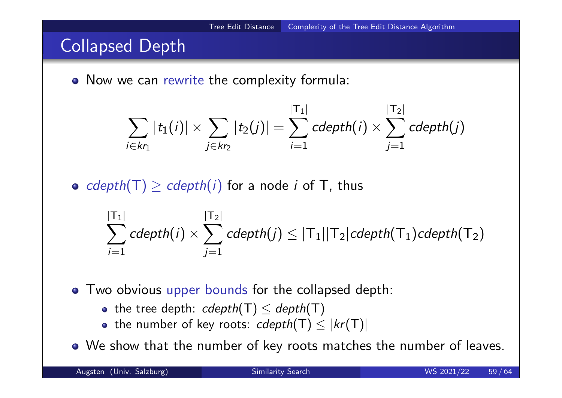

- Two obvious upper bounds for the collapsed depth:
	- the tree depth:  $cdepth(T) \leq depth(T)$
	- the number of key roots:  $cdepth(T) \leq |kr(T)|$
- We show that the number of key roots matches the number of leaves.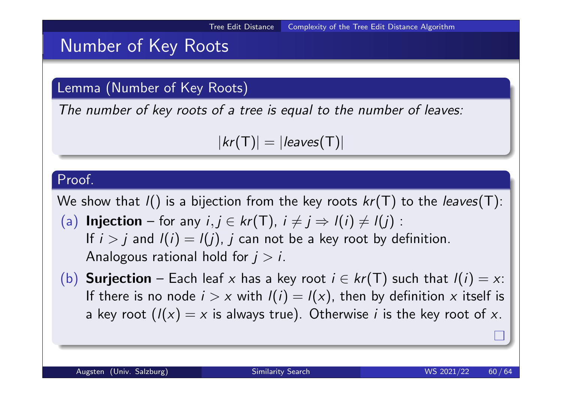## Number of Key Roots

#### Lemma (Number of Key Roots)

The number of key roots of a tree is equal to the number of leaves:

 $|kr(T)| = |leaves(T)|$ 

#### Proof.

We show that  $I()$  is a bijection from the key roots  $kr(T)$  to the leaves(T):

- (a) Injection for any  $i, j \in kr(T)$ ,  $i \neq j \Rightarrow l(i) \neq l(j)$ : If  $i > j$  and  $I(i) = I(j)$ , j can not be a key root by definition. Analogous rational hold for  $j > i$ .
- (b) Surjection Each leaf x has a key root  $i \in kr(T)$  such that  $l(i) = x$ : If there is no node  $i > x$  with  $I(i) = I(x)$ , then by definition x itself is a key root  $(1/x) = x$  is always true). Otherwise *i* is the key root of x.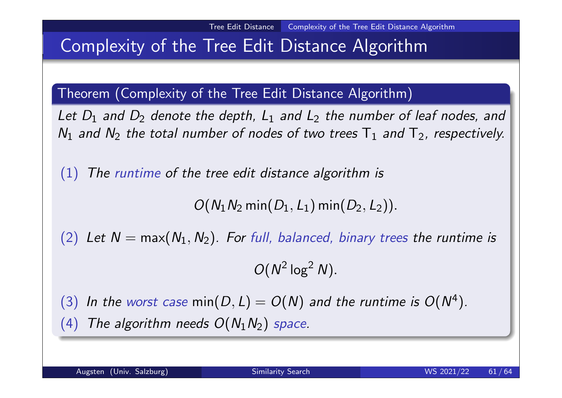# Complexity of the Tree Edit Distance Algorithm

Theorem (Complexity of the Tree Edit Distance Algorithm)

Let  $D_1$  and  $D_2$  denote the depth,  $L_1$  and  $L_2$  the number of leaf nodes, and  $N_1$  and  $N_2$  the total number of nodes of two trees  ${\sf T}_1$  and  ${\sf T}_2$ , respectively.

 $(1)$  The runtime of the tree edit distance algorithm is

 $O(N_1N_2 \text{ min}(D_1, L_1) \text{ min}(D_2, L_2)).$ 

 $(2)$  Let  $N = max(N_1, N_2)$ . For full, balanced, binary trees the runtime is

 $O(N^2 \log^2 N)$ .

(3) In the worst case min( $D, L$ ) =  $O(N)$  and the runtime is  $O(N^4)$ . (4) The algorithm needs  $O(N_1N_2)$  space.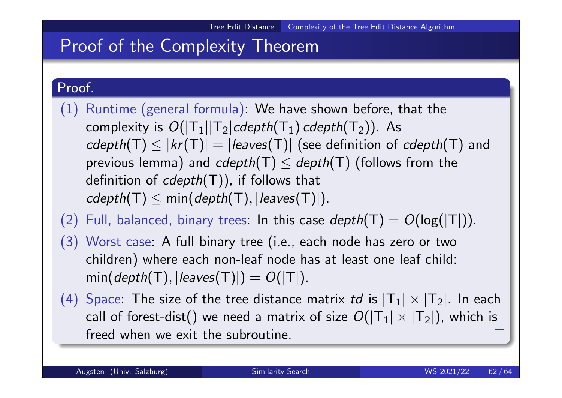## Proof of the Complexity Theorem

#### Proof.

- (1) Runtime (general formula): We have shown before, that the complexity is  $O(|{\sf T}_1||{\sf T}_2|$ cdepth $({\sf T}_1)$  cdepth $({\sf T}_2))$ . As  $cdepth(T) \leq |kr(T)| = |leaves(T)|$  (see definition of  $cdepth(T)$  and previous lemma) and  $cdepth(T) \leq depth(T)$  (follows from the definition of  $cdepth(T)$ , if follows that  $cdepth(T) \leq min(depth(T), |leaves(T)|).$
- (2) Full, balanced, binary trees: In this case  $depth(T) = O(log(|T|))$ .
- (3) Worst case: A full binary tree (i.e., each node has zero or two children) where each non-leaf node has at least one leaf child:  $min(depth(T), |leaves(T)|) = O(|T|).$
- (4) Space: The size of the tree distance matrix td is  $|T_1| \times |T_2|$ . In each call of forest-dist() we need a matrix of size  $O(|T_1| \times |T_2|)$ , which is freed when we exit the subroutine.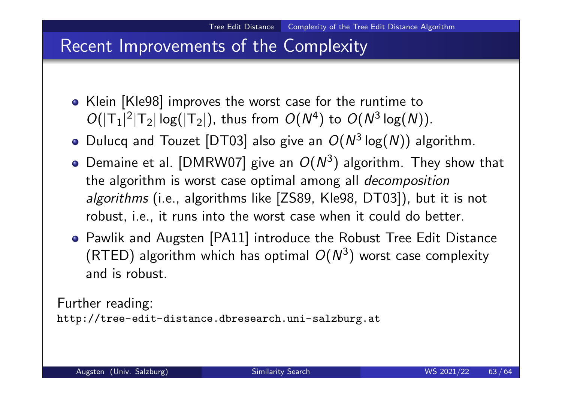## Recent Improvements of the Complexity

- Klein [Kle98] improves the worst case for the runtime to  $O(|T_1|^2 |T_2| \log(|T_2|))$ , thus from  $O(N^4)$  to  $O(N^3 \log(N))$ .
- Dulucq and Touzet [DT03] also give an  $O(N^3 \log(N))$  algorithm.
- Demaine et al. [DMRW07] give an  $O(N^3)$  algorithm. They show that the algorithm is worst case optimal among all decomposition algorithms (i.e., algorithms like [ZS89, Kle98, DT03]), but it is not robust, i.e., it runs into the worst case when it could do better.
- Pawlik and Augsten [PA11] introduce the Robust Tree Edit Distance (RTED) algorithm which has optimal  $O(N^3)$  worst case complexity and is robust.

Further reading: http://tree-edit-distance.dbresearch.uni-salzburg.at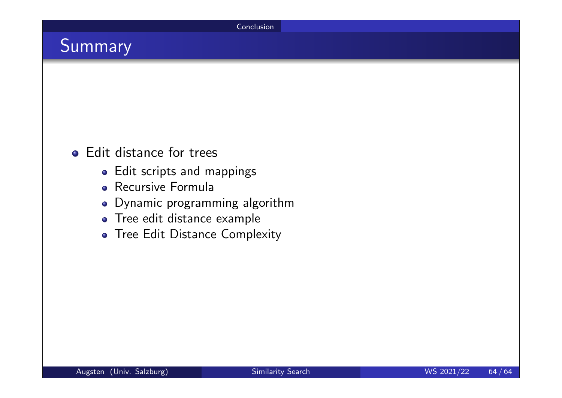Conclusion

# Summary

### **•** Edit distance for trees

- Edit scripts and mappings
- **•** Recursive Formula
- Dynamic programming algorithm
- Tree edit distance example
- Tree Edit Distance Complexity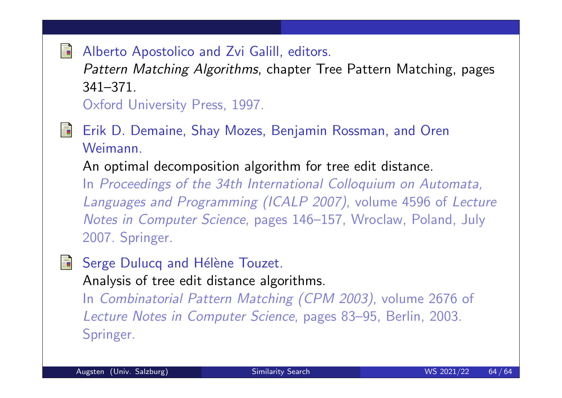Alberto Apostolico and Zvi Galill, editors. Pattern Matching Algorithms, chapter Tree Pattern Matching, pages 341–371. Oxford University Press, 1997.

Erik D. Demaine, Shay Mozes, Benjamin Rossman, and Oren Weimann.

An optimal decomposition algorithm for tree edit distance. In Proceedings of the 34th International Colloquium on Automata, Languages and Programming (ICALP 2007), volume 4596 of Lecture Notes in Computer Science, pages 146–157, Wroclaw, Poland, July 2007. Springer.

Serge Dulucq and Hélène Touzet. Analysis of tree edit distance algorithms.

In Combinatorial Pattern Matching (CPM 2003), volume 2676 of Lecture Notes in Computer Science, pages 83–95, Berlin, 2003. Springer.